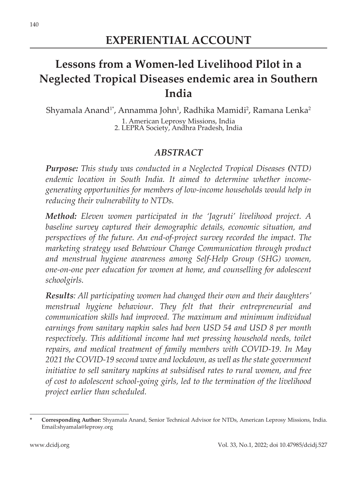# **Lessons from a Women-led Livelihood Pilot in a Neglected Tropical Diseases endemic area in Southern India**

Shyamala Anand<sup>1</sup>\*, Annamma John<sup>1</sup>, Radhika Mamidi<sup>2</sup>, Ramana Lenka<sup>2</sup> 1. American Leprosy Missions, India 2. LEPRA Society, Andhra Pradesh, India

#### *ABSTRACT*

*Purpose: This study was conducted in a Neglected Tropical Diseases (NTD) endemic location in South India. It aimed to determine whether incomegenerating opportunities for members of low-income households would help in reducing their vulnerability to NTDs.*

*Method: Eleven women participated in the 'Jagruti' livelihood project. A baseline survey captured their demographic details, economic situation, and perspectives of the future. An end-of-project survey recorded the impact. The marketing strategy used Behaviour Change Communication through product and menstrual hygiene awareness among Self-Help Group (SHG) women, one-on-one peer education for women at home, and counselling for adolescent schoolgirls.*

*Results: All participating women had changed their own and their daughters' menstrual hygiene behaviour. They felt that their entrepreneurial and communication skills had improved. The maximum and minimum individual earnings from sanitary napkin sales had been USD 54 and USD 8 per month respectively. This additional income had met pressing household needs, toilet repairs, and medical treatment of family members with COVID-19. In May 2021 the COVID-19 second wave and lockdown, as well as the state government initiative to sell sanitary napkins at subsidised rates to rural women, and free of cost to adolescent school-going girls, led to the termination of the livelihood project earlier than scheduled.*

**<sup>\*</sup> Corresponding Author:** Shyamala Anand, Senior Technical Advisor for NTDs, American Leprosy Missions, India. Email:shyamala@leprosy.org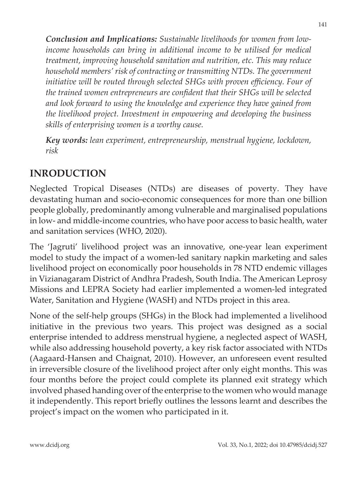*Conclusion and Implications: Sustainable livelihoods for women from lowincome households can bring in additional income to be utilised for medical treatment, improving household sanitation and nutrition, etc. This may reduce household members' risk of contracting or transmitting NTDs. The government*  initiative will be routed through selected SHGs with proven efficiency. Four of *the trained women entrepreneurs are confident that their SHGs will be selected and look forward to using the knowledge and experience they have gained from the livelihood project. Investment in empowering and developing the business skills of enterprising women is a worthy cause.*

*Key words: lean experiment, entrepreneurship, menstrual hygiene, lockdown, risk*

# **INRODUCTION**

Neglected Tropical Diseases (NTDs) are diseases of poverty. They have devastating human and socio-economic consequences for more than one billion people globally, predominantly among vulnerable and marginalised populations in low- and middle-income countries, who have poor access to basic health, water and sanitation services (WHO, 2020).

The 'Jagruti' livelihood project was an innovative, one-year lean experiment model to study the impact of a women-led sanitary napkin marketing and sales livelihood project on economically poor households in 78 NTD endemic villages in Vizianagaram District of Andhra Pradesh, South India. The American Leprosy Missions and LEPRA Society had earlier implemented a women-led integrated Water, Sanitation and Hygiene (WASH) and NTDs project in this area.

None of the self-help groups (SHGs) in the Block had implemented a livelihood initiative in the previous two years. This project was designed as a social enterprise intended to address menstrual hygiene, a neglected aspect of WASH, while also addressing household poverty, a key risk factor associated with NTDs (Aagaard-Hansen and Chaignat, 2010). However, an unforeseen event resulted in irreversible closure of the livelihood project after only eight months. This was four months before the project could complete its planned exit strategy which involved phased handing over of the enterprise to the women who would manage it independently. This report briefly outlines the lessons learnt and describes the project's impact on the women who participated in it.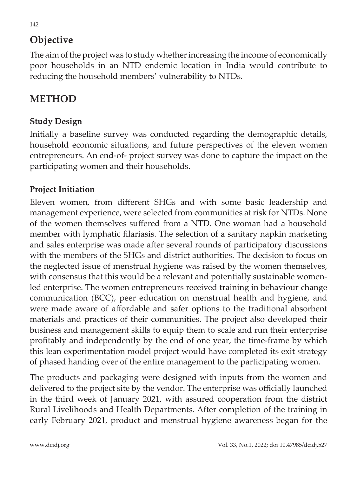# **Objective**

The aim of the project was to study whether increasing the income of economically poor households in an NTD endemic location in India would contribute to reducing the household members' vulnerability to NTDs.

## **METHOD**

#### **Study Design**

Initially a baseline survey was conducted regarding the demographic details, household economic situations, and future perspectives of the eleven women entrepreneurs. An end-of- project survey was done to capture the impact on the participating women and their households.

#### **Project Initiation**

Eleven women, from different SHGs and with some basic leadership and management experience, were selected from communities at risk for NTDs. None of the women themselves suffered from a NTD. One woman had a household member with lymphatic filariasis. The selection of a sanitary napkin marketing and sales enterprise was made after several rounds of participatory discussions with the members of the SHGs and district authorities. The decision to focus on the neglected issue of menstrual hygiene was raised by the women themselves, with consensus that this would be a relevant and potentially sustainable womenled enterprise. The women entrepreneurs received training in behaviour change communication (BCC), peer education on menstrual health and hygiene, and were made aware of affordable and safer options to the traditional absorbent materials and practices of their communities. The project also developed their business and management skills to equip them to scale and run their enterprise profitably and independently by the end of one year, the time-frame by which this lean experimentation model project would have completed its exit strategy of phased handing over of the entire management to the participating women.

The products and packaging were designed with inputs from the women and delivered to the project site by the vendor. The enterprise was officially launched in the third week of January 2021, with assured cooperation from the district Rural Livelihoods and Health Departments. After completion of the training in early February 2021, product and menstrual hygiene awareness began for the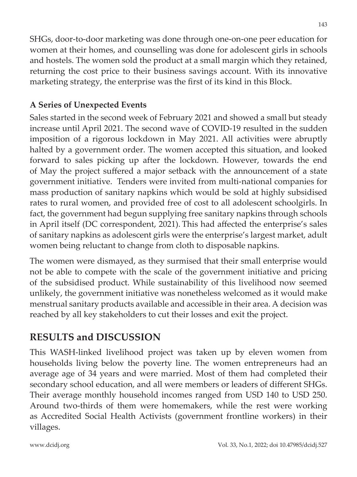SHGs, door-to-door marketing was done through one-on-one peer education for women at their homes, and counselling was done for adolescent girls in schools and hostels. The women sold the product at a small margin which they retained, returning the cost price to their business savings account. With its innovative marketing strategy, the enterprise was the first of its kind in this Block.

### **A Series of Unexpected Events**

Sales started in the second week of February 2021 and showed a small but steady increase until April 2021. The second wave of COVID-19 resulted in the sudden imposition of a rigorous lockdown in May 2021. All activities were abruptly halted by a government order. The women accepted this situation, and looked forward to sales picking up after the lockdown. However, towards the end of May the project suffered a major setback with the announcement of a state government initiative. Tenders were invited from multi-national companies for mass production of sanitary napkins which would be sold at highly subsidised rates to rural women, and provided free of cost to all adolescent schoolgirls. In fact, the government had begun supplying free sanitary napkins through schools in April itself (DC correspondent, 2021). This had affected the enterprise's sales of sanitary napkins as adolescent girls were the enterprise's largest market, adult women being reluctant to change from cloth to disposable napkins.

The women were dismayed, as they surmised that their small enterprise would not be able to compete with the scale of the government initiative and pricing of the subsidised product. While sustainability of this livelihood now seemed unlikely, the government initiative was nonetheless welcomed as it would make menstrual sanitary products available and accessible in their area. A decision was reached by all key stakeholders to cut their losses and exit the project.

# **RESULTS and DISCUSSION**

This WASH-linked livelihood project was taken up by eleven women from households living below the poverty line. The women entrepreneurs had an average age of 34 years and were married. Most of them had completed their secondary school education, and all were members or leaders of different SHGs. Their average monthly household incomes ranged from USD 140 to USD 250. Around two-thirds of them were homemakers, while the rest were working as Accredited Social Health Activists (government frontline workers) in their villages.

www.dcidj.org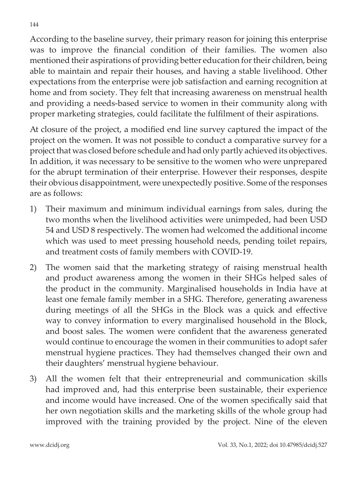According to the baseline survey, their primary reason for joining this enterprise was to improve the financial condition of their families. The women also mentioned their aspirations of providing better education for their children, being able to maintain and repair their houses, and having a stable livelihood. Other expectations from the enterprise were job satisfaction and earning recognition at home and from society. They felt that increasing awareness on menstrual health and providing a needs-based service to women in their community along with proper marketing strategies, could facilitate the fulfilment of their aspirations.

At closure of the project, a modified end line survey captured the impact of the project on the women. It was not possible to conduct a comparative survey for a project that was closed before schedule and had only partly achieved its objectives. In addition, it was necessary to be sensitive to the women who were unprepared for the abrupt termination of their enterprise. However their responses, despite their obvious disappointment, were unexpectedly positive. Some of the responses are as follows:

- 1) Their maximum and minimum individual earnings from sales, during the two months when the livelihood activities were unimpeded, had been USD 54 and USD 8 respectively. The women had welcomed the additional income which was used to meet pressing household needs, pending toilet repairs, and treatment costs of family members with COVID-19.
- 2) The women said that the marketing strategy of raising menstrual health and product awareness among the women in their SHGs helped sales of the product in the community. Marginalised households in India have at least one female family member in a SHG. Therefore, generating awareness during meetings of all the SHGs in the Block was a quick and effective way to convey information to every marginalised household in the Block, and boost sales. The women were confident that the awareness generated would continue to encourage the women in their communities to adopt safer menstrual hygiene practices. They had themselves changed their own and their daughters' menstrual hygiene behaviour.
- 3) All the women felt that their entrepreneurial and communication skills had improved and, had this enterprise been sustainable, their experience and income would have increased. One of the women specifically said that her own negotiation skills and the marketing skills of the whole group had improved with the training provided by the project. Nine of the eleven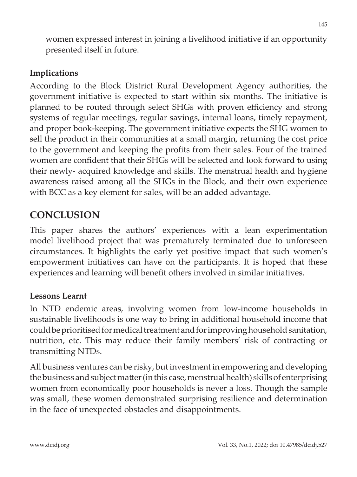women expressed interest in joining a livelihood initiative if an opportunity presented itself in future.

#### **Implications**

According to the Block District Rural Development Agency authorities, the government initiative is expected to start within six months. The initiative is planned to be routed through select SHGs with proven efficiency and strong systems of regular meetings, regular savings, internal loans, timely repayment, and proper book-keeping. The government initiative expects the SHG women to sell the product in their communities at a small margin, returning the cost price to the government and keeping the profits from their sales. Four of the trained women are confident that their SHGs will be selected and look forward to using their newly- acquired knowledge and skills. The menstrual health and hygiene awareness raised among all the SHGs in the Block, and their own experience with BCC as a key element for sales, will be an added advantage.

## **CONCLUSION**

This paper shares the authors' experiences with a lean experimentation model livelihood project that was prematurely terminated due to unforeseen circumstances. It highlights the early yet positive impact that such women's empowerment initiatives can have on the participants. It is hoped that these experiences and learning will benefit others involved in similar initiatives.

#### **Lessons Learnt**

In NTD endemic areas, involving women from low-income households in sustainable livelihoods is one way to bring in additional household income that could be prioritised for medical treatment and for improving household sanitation, nutrition, etc. This may reduce their family members' risk of contracting or transmitting NTDs.

All business ventures can be risky, but investment in empowering and developing the business and subject matter (in this case, menstrual health) skills of enterprising women from economically poor households is never a loss. Though the sample was small, these women demonstrated surprising resilience and determination in the face of unexpected obstacles and disappointments.